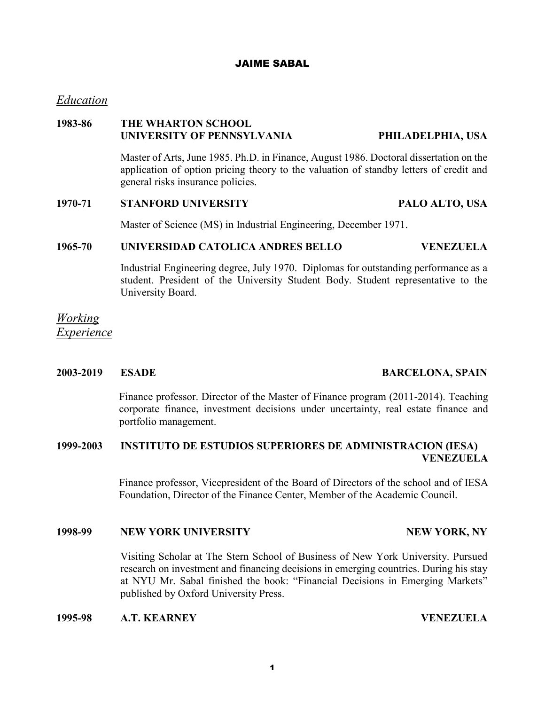# JAIME SABAL

# *Education*

### **1983-86 THE WHARTON SCHOOL UNIVERSITY OF PENNSYLVANIA PHILADELPHIA, USA**

Master of Arts, June 1985. Ph.D. in Finance, August 1986. Doctoral dissertation on the application of option pricing theory to the valuation of standby letters of credit and general risks insurance policies.

### **1970-71 STANFORD UNIVERSITY PALO ALTO, USA**

Master of Science (MS) in Industrial Engineering, December 1971.

# **1965-70 UNIVERSIDAD CATOLICA ANDRES BELLO VENEZUELA**

Industrial Engineering degree, July 1970. Diplomas for outstanding performance as a student. President of the University Student Body. Student representative to the University Board.

### *Working Experience*

### **2003-2019 ESADE BARCELONA, SPAIN**

Finance professor. Director of the Master of Finance program (2011-2014). Teaching corporate finance, investment decisions under uncertainty, real estate finance and portfolio management.

### **1999-2003 INSTITUTO DE ESTUDIOS SUPERIORES DE ADMINISTRACION (IESA) VENEZUELA**

Finance professor, Vicepresident of the Board of Directors of the school and of IESA Foundation, Director of the Finance Center, Member of the Academic Council.

### **1998-99 NEW YORK UNIVERSITY NEW YORK, NY**

Visiting Scholar at The Stern School of Business of New York University. Pursued research on investment and financing decisions in emerging countries. During his stay at NYU Mr. Sabal finished the book: "Financial Decisions in Emerging Markets" published by Oxford University Press.

**1995-98 A.T. KEARNEY VENEZUELA**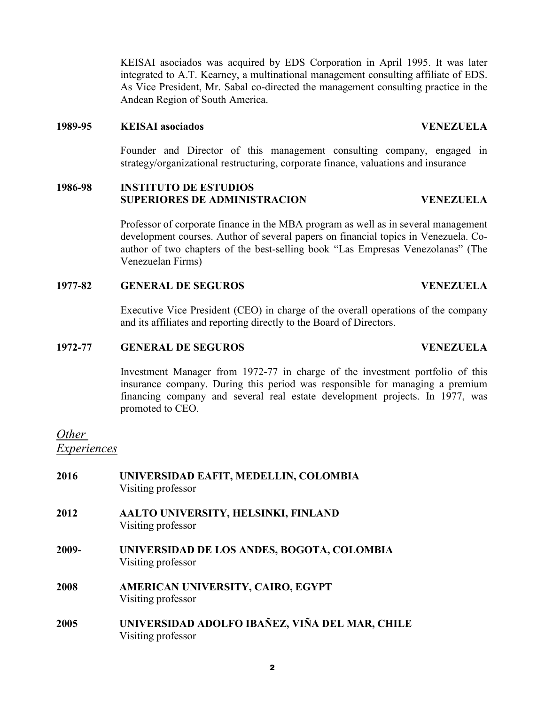2

KEISAI asociados was acquired by EDS Corporation in April 1995. It was later integrated to A.T. Kearney, a multinational management consulting affiliate of EDS. As Vice President, Mr. Sabal co-directed the management consulting practice in the Andean Region of South America.

#### **1989-95 KEISAI asociados VENEZUELA**

Founder and Director of this management consulting company, engaged in strategy/organizational restructuring, corporate finance, valuations and insurance

### **1986-98 INSTITUTO DE ESTUDIOS SUPERIORES DE ADMINISTRACION VENEZUELA**

Professor of corporate finance in the MBA program as well as in several management development courses. Author of several papers on financial topics in Venezuela. Coauthor of two chapters of the best-selling book "Las Empresas Venezolanas" (The Venezuelan Firms)

### **1977-82 GENERAL DE SEGUROS VENEZUELA**

Executive Vice President (CEO) in charge of the overall operations of the company and its affiliates and reporting directly to the Board of Directors.

#### **1972-77 GENERAL DE SEGUROS VENEZUELA**

Investment Manager from 1972-77 in charge of the investment portfolio of this insurance company. During this period was responsible for managing a premium financing company and several real estate development projects. In 1977, was promoted to CEO.

## *Other Experiences*

| 2016  | UNIVERSIDAD EAFIT, MEDELLIN, COLOMBIA<br>Visiting professor          |
|-------|----------------------------------------------------------------------|
| 2012  | AALTO UNIVERSITY, HELSINKI, FINLAND<br>Visiting professor            |
| 2009- | UNIVERSIDAD DE LOS ANDES, BOGOTA, COLOMBIA<br>Visiting professor     |
| 2008  | AMERICAN UNIVERSITY, CAIRO, EGYPT<br>Visiting professor              |
| 2005  | UNIVERSIDAD ADOLFO IBAÑEZ, VIÑA DEL MAR, CHILE<br>Visiting professor |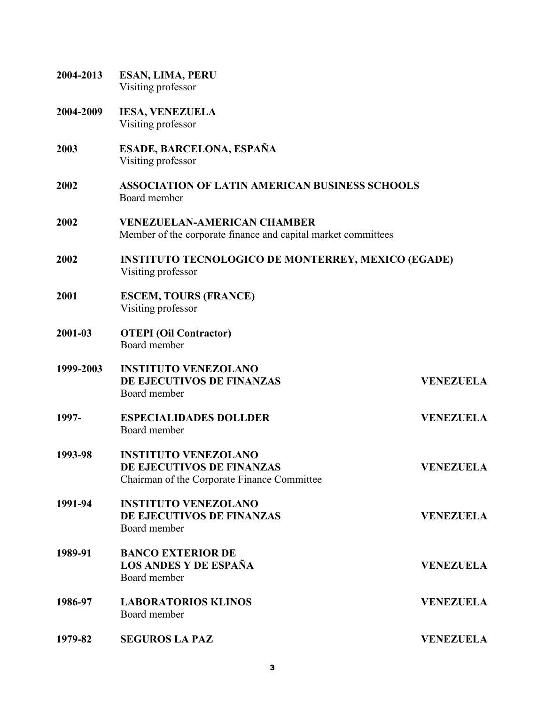| 2004-2013 | ESAN, LIMA, PERU<br>Visiting professor                                                                  |                  |
|-----------|---------------------------------------------------------------------------------------------------------|------------------|
| 2004-2009 | <b>IESA, VENEZUELA</b><br>Visiting professor                                                            |                  |
| 2003      | ESADE, BARCELONA, ESPAÑA<br>Visiting professor                                                          |                  |
| 2002      | <b>ASSOCIATION OF LATIN AMERICAN BUSINESS SCHOOLS</b><br>Board member                                   |                  |
| 2002      | <b>VENEZUELAN-AMERICAN CHAMBER</b><br>Member of the corporate finance and capital market committees     |                  |
| 2002      | <b>INSTITUTO TECNOLOGICO DE MONTERREY, MEXICO (EGADE)</b><br>Visiting professor                         |                  |
| 2001      | <b>ESCEM, TOURS (FRANCE)</b><br>Visiting professor                                                      |                  |
| 2001-03   | <b>OTEPI</b> (Oil Contractor)<br>Board member                                                           |                  |
| 1999-2003 | <b>INSTITUTO VENEZOLANO</b><br>DE EJECUTIVOS DE FINANZAS<br>Board member                                | <b>VENEZUELA</b> |
| 1997-     | <b>ESPECIALIDADES DOLLDER</b><br>Board member                                                           | <b>VENEZUELA</b> |
| 1993-98   | <b>INSTITUTO VENEZOLANO</b><br>DE EJECUTIVOS DE FINANZAS<br>Chairman of the Corporate Finance Committee | <b>VENEZUELA</b> |
| 1991-94   | <b>INSTITUTO VENEZOLANO</b><br>DE EJECUTIVOS DE FINANZAS<br>Board member                                | <b>VENEZUELA</b> |
| 1989-91   | <b>BANCO EXTERIOR DE</b><br><b>LOS ANDES Y DE ESPAÑA</b><br>Board member                                | <b>VENEZUELA</b> |
| 1986-97   | <b>LABORATORIOS KLINOS</b><br>Board member                                                              | <b>VENEZUELA</b> |
| 1979-82   | <b>SEGUROS LA PAZ</b>                                                                                   | <b>VENEZUELA</b> |